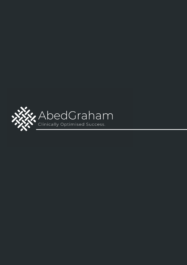